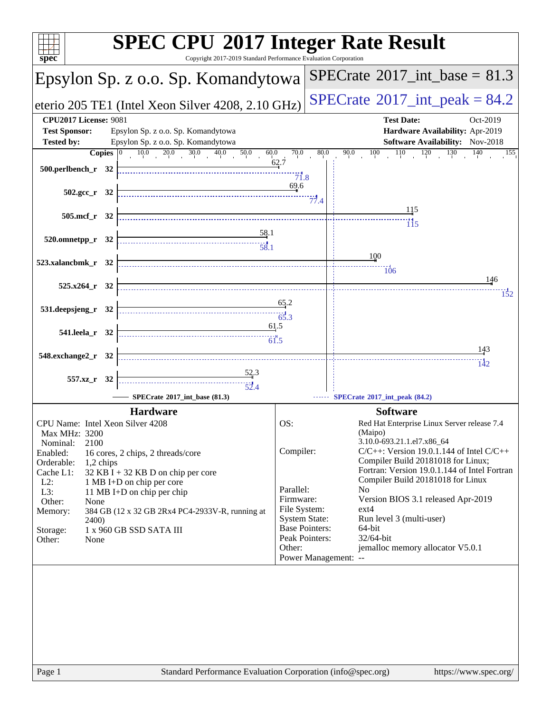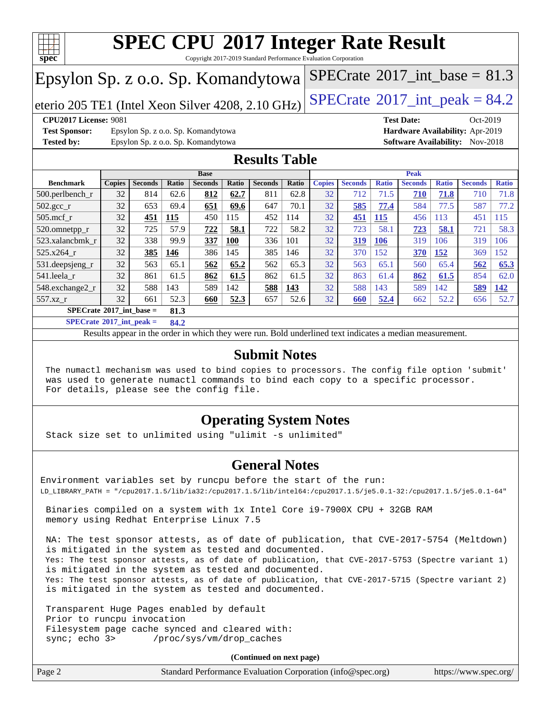

Copyright 2017-2019 Standard Performance Evaluation Corporation

# Epsylon Sp. z o.o. Sp. Komandytowa

eterio 205 TE1 (Intel Xeon Silver 4208, 2.10 GHz) [SPECrate](http://www.spec.org/auto/cpu2017/Docs/result-fields.html#SPECrate2017intpeak)® [2017\\_int\\_peak =](http://www.spec.org/auto/cpu2017/Docs/result-fields.html#SPECrate2017intpeak)  $84.2$ 

[SPECrate](http://www.spec.org/auto/cpu2017/Docs/result-fields.html#SPECrate2017intbase)<sup>®</sup>2017 int\_base = 81.3

**[Test Sponsor:](http://www.spec.org/auto/cpu2017/Docs/result-fields.html#TestSponsor)** Epsylon Sp. z o.o. Sp. Komandytowa **[Hardware Availability:](http://www.spec.org/auto/cpu2017/Docs/result-fields.html#HardwareAvailability)** Apr-2019 **[Tested by:](http://www.spec.org/auto/cpu2017/Docs/result-fields.html#Testedby)** Epsylon Sp. z o.o. Sp. Komandytowa **[Software Availability:](http://www.spec.org/auto/cpu2017/Docs/result-fields.html#SoftwareAvailability)** Nov-2018

**[CPU2017 License:](http://www.spec.org/auto/cpu2017/Docs/result-fields.html#CPU2017License)** 9081 **[Test Date:](http://www.spec.org/auto/cpu2017/Docs/result-fields.html#TestDate)** Oct-2019

### **[Results Table](http://www.spec.org/auto/cpu2017/Docs/result-fields.html#ResultsTable)**

|                               | <b>Base</b>                               |                |       |                | <b>Peak</b> |                |       |               |                |              |                |              |                |              |
|-------------------------------|-------------------------------------------|----------------|-------|----------------|-------------|----------------|-------|---------------|----------------|--------------|----------------|--------------|----------------|--------------|
| <b>Benchmark</b>              | <b>Copies</b>                             | <b>Seconds</b> | Ratio | <b>Seconds</b> | Ratio       | <b>Seconds</b> | Ratio | <b>Copies</b> | <b>Seconds</b> | <b>Ratio</b> | <b>Seconds</b> | <b>Ratio</b> | <b>Seconds</b> | <b>Ratio</b> |
| $500.$ perlbench_r            | 32                                        | 814            | 62.6  | 812            | 62.7        | 811            | 62.8  | 32            | 712            | 71.5         | 710            | 71.8         | 710            | 71.8         |
| $502.\text{gcc}$ <sub>r</sub> | 32                                        | 653            | 69.4  | 651            | 69.6        | 647            | 70.1  | 32            | 585            | 77.4         | 584            | 77.5         | 587            | 77.2         |
| $505$ .mcf r                  | 32                                        | 451            | 115   | 450            | 115         | 452            | 114   | 32            | 451            | 115          | 456            | 113          | 451            | 115          |
| 520.omnetpp_r                 | 32                                        | 725            | 57.9  | 722            | 58.1        | 722            | 58.2  | 32            | 723            | 58.1         | 723            | 58.1         | 721            | 58.3         |
| 523.xalancbmk r               | 32                                        | 338            | 99.9  | 337            | <b>100</b>  | 336            | 101   | 32            | 319            | 106          | 319            | 106          | 319            | 106          |
| 525.x264 r                    | 32                                        | 385            | 146   | 386            | 145         | 385            | 146   | 32            | 370            | 152          | 370            | 152          | 369            | 152          |
| 531.deepsjeng_r               | 32                                        | 563            | 65.1  | 562            | 65.2        | 562            | 65.3  | 32            | 563            | 65.1         | 560            | 65.4         | 562            | 65.3         |
| 541.leela r                   | 32                                        | 861            | 61.5  | 862            | 61.5        | 862            | 61.5  | 32            | 863            | 61.4         | 862            | 61.5         | 854            | 62.0         |
| 548.exchange2_r               | 32                                        | 588            | 143   | 589            | 142         | 588            | 143   | 32            | 588            | 143          | 589            | 142          | 589            | 142          |
| 557.xz r                      | 32                                        | 661            | 52.3  | 660            | 52.3        | 657            | 52.6  | 32            | 660            | 52.4         | 662            | 52.2         | 656            | 52.7         |
|                               | $SPECrate^{\circ}2017$ int base =<br>81.3 |                |       |                |             |                |       |               |                |              |                |              |                |              |

**[SPECrate](http://www.spec.org/auto/cpu2017/Docs/result-fields.html#SPECrate2017intpeak)[2017\\_int\\_peak =](http://www.spec.org/auto/cpu2017/Docs/result-fields.html#SPECrate2017intpeak) 84.2**

Results appear in the [order in which they were run.](http://www.spec.org/auto/cpu2017/Docs/result-fields.html#RunOrder) Bold underlined text [indicates a median measurement.](http://www.spec.org/auto/cpu2017/Docs/result-fields.html#Median)

### **[Submit Notes](http://www.spec.org/auto/cpu2017/Docs/result-fields.html#SubmitNotes)**

 The numactl mechanism was used to bind copies to processors. The config file option 'submit' was used to generate numactl commands to bind each copy to a specific processor. For details, please see the config file.

### **[Operating System Notes](http://www.spec.org/auto/cpu2017/Docs/result-fields.html#OperatingSystemNotes)**

Stack size set to unlimited using "ulimit -s unlimited"

### **[General Notes](http://www.spec.org/auto/cpu2017/Docs/result-fields.html#GeneralNotes)**

Environment variables set by runcpu before the start of the run: LD\_LIBRARY\_PATH = "/cpu2017.1.5/lib/ia32:/cpu2017.1.5/lib/intel64:/cpu2017.1.5/je5.0.1-32:/cpu2017.1.5/je5.0.1-64"

 Binaries compiled on a system with 1x Intel Core i9-7900X CPU + 32GB RAM memory using Redhat Enterprise Linux 7.5

 NA: The test sponsor attests, as of date of publication, that CVE-2017-5754 (Meltdown) is mitigated in the system as tested and documented. Yes: The test sponsor attests, as of date of publication, that CVE-2017-5753 (Spectre variant 1) is mitigated in the system as tested and documented. Yes: The test sponsor attests, as of date of publication, that CVE-2017-5715 (Spectre variant 2) is mitigated in the system as tested and documented.

 Transparent Huge Pages enabled by default Prior to runcpu invocation Filesystem page cache synced and cleared with: sync; echo 3> /proc/sys/vm/drop\_caches

**(Continued on next page)**

| Page 2 | Standard Performance Evaluation Corporation (info@spec.org) | https://www.spec.org/ |
|--------|-------------------------------------------------------------|-----------------------|
|--------|-------------------------------------------------------------|-----------------------|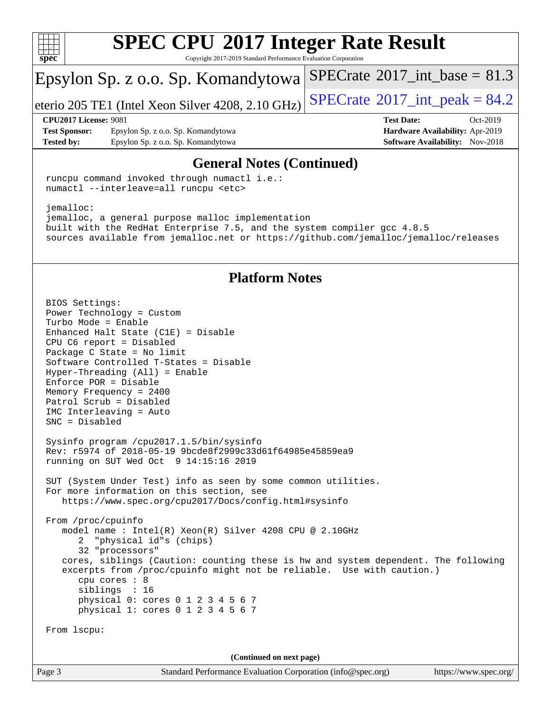

Copyright 2017-2019 Standard Performance Evaluation Corporation

# Epsylon Sp. z o.o. Sp. Komandytowa

eterio 205 TE1 (Intel Xeon Silver 4208, 2.10 GHz)  $\left|$  [SPECrate](http://www.spec.org/auto/cpu2017/Docs/result-fields.html#SPECrate2017intpeak)<sup>®</sup>[2017\\_int\\_peak =](http://www.spec.org/auto/cpu2017/Docs/result-fields.html#SPECrate2017intpeak) 84.2

[SPECrate](http://www.spec.org/auto/cpu2017/Docs/result-fields.html#SPECrate2017intbase)<sup>®</sup>2017 int\_base = 81.3

**[Test Sponsor:](http://www.spec.org/auto/cpu2017/Docs/result-fields.html#TestSponsor)** Epsylon Sp. z o.o. Sp. Komandytowa **[Hardware Availability:](http://www.spec.org/auto/cpu2017/Docs/result-fields.html#HardwareAvailability)** Apr-2019 **[Tested by:](http://www.spec.org/auto/cpu2017/Docs/result-fields.html#Testedby)** Epsylon Sp. z o.o. Sp. Komandytowa **[Software Availability:](http://www.spec.org/auto/cpu2017/Docs/result-fields.html#SoftwareAvailability)** Nov-2018

**[CPU2017 License:](http://www.spec.org/auto/cpu2017/Docs/result-fields.html#CPU2017License)** 9081 **[Test Date:](http://www.spec.org/auto/cpu2017/Docs/result-fields.html#TestDate)** Oct-2019

### **[General Notes \(Continued\)](http://www.spec.org/auto/cpu2017/Docs/result-fields.html#GeneralNotes)**

 runcpu command invoked through numactl i.e.: numactl --interleave=all runcpu <etc>

 jemalloc: jemalloc, a general purpose malloc implementation built with the RedHat Enterprise 7.5, and the system compiler gcc 4.8.5 sources available from jemalloc.net or <https://github.com/jemalloc/jemalloc/releases>

### **[Platform Notes](http://www.spec.org/auto/cpu2017/Docs/result-fields.html#PlatformNotes)**

 BIOS Settings: Power Technology = Custom Turbo Mode = Enable Enhanced Halt State (C1E) = Disable CPU C6 report = Disabled Package C State = No limit Software Controlled T-States = Disable Hyper-Threading (All) = Enable Enforce POR = Disable Memory Frequency = 2400 Patrol Scrub = Disabled IMC Interleaving = Auto SNC = Disabled Sysinfo program /cpu2017.1.5/bin/sysinfo Rev: r5974 of 2018-05-19 9bcde8f2999c33d61f64985e45859ea9 running on SUT Wed Oct 9 14:15:16 2019 SUT (System Under Test) info as seen by some common utilities. For more information on this section, see <https://www.spec.org/cpu2017/Docs/config.html#sysinfo> From /proc/cpuinfo model name : Intel(R) Xeon(R) Silver 4208 CPU @ 2.10GHz 2 "physical id"s (chips) 32 "processors" cores, siblings (Caution: counting these is hw and system dependent. The following excerpts from /proc/cpuinfo might not be reliable. Use with caution.) cpu cores : 8 siblings : 16 physical 0: cores 0 1 2 3 4 5 6 7 physical 1: cores 0 1 2 3 4 5 6 7 From lscpu: **(Continued on next page)**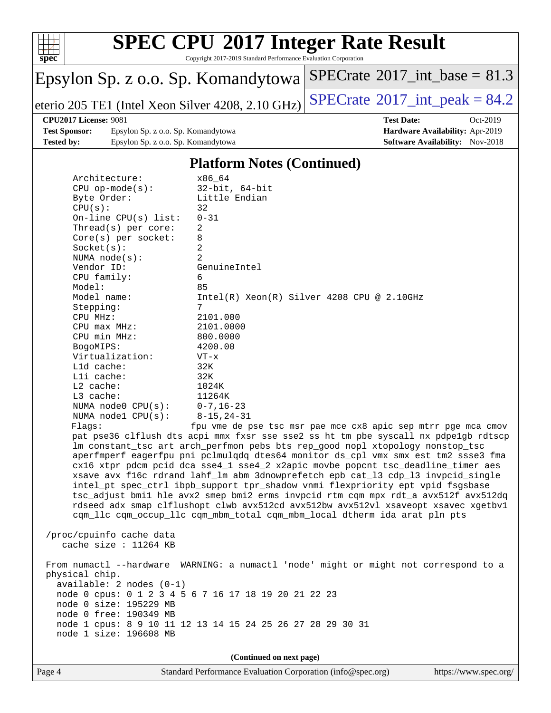

Copyright 2017-2019 Standard Performance Evaluation Corporation

# Epsylon Sp. z o.o. Sp. Komandytowa

eterio 205 TE1 (Intel Xeon Silver 4208, 2.10 GHz) [SPECrate](http://www.spec.org/auto/cpu2017/Docs/result-fields.html#SPECrate2017intpeak)® [2017\\_int\\_peak =](http://www.spec.org/auto/cpu2017/Docs/result-fields.html#SPECrate2017intpeak)  $84.2$ 

 $SPECrate@2017_int\_base = 81.3$  $SPECrate@2017_int\_base = 81.3$ 

#### **[CPU2017 License:](http://www.spec.org/auto/cpu2017/Docs/result-fields.html#CPU2017License)** 9081 **[Test Date:](http://www.spec.org/auto/cpu2017/Docs/result-fields.html#TestDate)** Oct-2019

**[Test Sponsor:](http://www.spec.org/auto/cpu2017/Docs/result-fields.html#TestSponsor)** Epsylon Sp. z o.o. Sp. Komandytowa **[Hardware Availability:](http://www.spec.org/auto/cpu2017/Docs/result-fields.html#HardwareAvailability)** Apr-2019 **[Tested by:](http://www.spec.org/auto/cpu2017/Docs/result-fields.html#Testedby)** Epsylon Sp. z o.o. Sp. Komandytowa **[Software Availability:](http://www.spec.org/auto/cpu2017/Docs/result-fields.html#SoftwareAvailability)** Nov-2018

### **[Platform Notes \(Continued\)](http://www.spec.org/auto/cpu2017/Docs/result-fields.html#PlatformNotes)**

| Architecture:                                                                                                            | x86 64                                                                                                                                                                                                                                                                                                                                                                                                                                                                                                                                                                                                                                                                                                                                                                                                                                        |
|--------------------------------------------------------------------------------------------------------------------------|-----------------------------------------------------------------------------------------------------------------------------------------------------------------------------------------------------------------------------------------------------------------------------------------------------------------------------------------------------------------------------------------------------------------------------------------------------------------------------------------------------------------------------------------------------------------------------------------------------------------------------------------------------------------------------------------------------------------------------------------------------------------------------------------------------------------------------------------------|
| $CPU$ op-mode( $s$ ):                                                                                                    | $32$ -bit, $64$ -bit                                                                                                                                                                                                                                                                                                                                                                                                                                                                                                                                                                                                                                                                                                                                                                                                                          |
| Byte Order:                                                                                                              | Little Endian                                                                                                                                                                                                                                                                                                                                                                                                                                                                                                                                                                                                                                                                                                                                                                                                                                 |
| CPU(s):                                                                                                                  | 32                                                                                                                                                                                                                                                                                                                                                                                                                                                                                                                                                                                                                                                                                                                                                                                                                                            |
| On-line CPU(s) list:                                                                                                     | $0 - 31$                                                                                                                                                                                                                                                                                                                                                                                                                                                                                                                                                                                                                                                                                                                                                                                                                                      |
| Thread(s) per core:                                                                                                      | $\overline{a}$                                                                                                                                                                                                                                                                                                                                                                                                                                                                                                                                                                                                                                                                                                                                                                                                                                |
| Core(s) per socket:                                                                                                      | 8                                                                                                                                                                                                                                                                                                                                                                                                                                                                                                                                                                                                                                                                                                                                                                                                                                             |
| Socket(s):                                                                                                               | 2                                                                                                                                                                                                                                                                                                                                                                                                                                                                                                                                                                                                                                                                                                                                                                                                                                             |
| NUMA $node(s)$ :                                                                                                         | $\overline{2}$                                                                                                                                                                                                                                                                                                                                                                                                                                                                                                                                                                                                                                                                                                                                                                                                                                |
| Vendor ID:                                                                                                               | GenuineIntel                                                                                                                                                                                                                                                                                                                                                                                                                                                                                                                                                                                                                                                                                                                                                                                                                                  |
| CPU family:                                                                                                              | 6                                                                                                                                                                                                                                                                                                                                                                                                                                                                                                                                                                                                                                                                                                                                                                                                                                             |
| Model:                                                                                                                   | 85                                                                                                                                                                                                                                                                                                                                                                                                                                                                                                                                                                                                                                                                                                                                                                                                                                            |
| Model name:                                                                                                              | $Intel(R) Xeon(R) Silver 4208 CPU @ 2.10GHz$                                                                                                                                                                                                                                                                                                                                                                                                                                                                                                                                                                                                                                                                                                                                                                                                  |
| Stepping:                                                                                                                | 7                                                                                                                                                                                                                                                                                                                                                                                                                                                                                                                                                                                                                                                                                                                                                                                                                                             |
| CPU MHz:                                                                                                                 | 2101.000                                                                                                                                                                                                                                                                                                                                                                                                                                                                                                                                                                                                                                                                                                                                                                                                                                      |
| CPU max MHz:                                                                                                             | 2101.0000                                                                                                                                                                                                                                                                                                                                                                                                                                                                                                                                                                                                                                                                                                                                                                                                                                     |
| CPU min MHz:                                                                                                             | 800.0000                                                                                                                                                                                                                                                                                                                                                                                                                                                                                                                                                                                                                                                                                                                                                                                                                                      |
| BogoMIPS:                                                                                                                | 4200.00                                                                                                                                                                                                                                                                                                                                                                                                                                                                                                                                                                                                                                                                                                                                                                                                                                       |
| Virtualization:                                                                                                          | $VT - x$                                                                                                                                                                                                                                                                                                                                                                                                                                                                                                                                                                                                                                                                                                                                                                                                                                      |
| L1d cache:                                                                                                               | 32K                                                                                                                                                                                                                                                                                                                                                                                                                                                                                                                                                                                                                                                                                                                                                                                                                                           |
| $L1i$ cache:                                                                                                             | 32K                                                                                                                                                                                                                                                                                                                                                                                                                                                                                                                                                                                                                                                                                                                                                                                                                                           |
| L2 cache:                                                                                                                | 1024K                                                                                                                                                                                                                                                                                                                                                                                                                                                                                                                                                                                                                                                                                                                                                                                                                                         |
| L3 cache:                                                                                                                | 11264K                                                                                                                                                                                                                                                                                                                                                                                                                                                                                                                                                                                                                                                                                                                                                                                                                                        |
| NUMA $node0$ $CPU(s):$                                                                                                   | $0 - 7, 16 - 23$                                                                                                                                                                                                                                                                                                                                                                                                                                                                                                                                                                                                                                                                                                                                                                                                                              |
| NUMA nodel $CPU(s):$                                                                                                     | $8 - 15, 24 - 31$                                                                                                                                                                                                                                                                                                                                                                                                                                                                                                                                                                                                                                                                                                                                                                                                                             |
|                                                                                                                          |                                                                                                                                                                                                                                                                                                                                                                                                                                                                                                                                                                                                                                                                                                                                                                                                                                               |
| Flaqs:                                                                                                                   | fpu vme de pse tsc msr pae mce cx8 apic sep mtrr pge mca cmov<br>pat pse36 clflush dts acpi mmx fxsr sse sse2 ss ht tm pbe syscall nx pdpe1gb rdtscp<br>lm constant_tsc art arch_perfmon pebs bts rep_good nopl xtopology nonstop_tsc<br>aperfmperf eagerfpu pni pclmulqdq dtes64 monitor ds_cpl vmx smx est tm2 ssse3 fma<br>cx16 xtpr pdcm pcid dca sse4_1 sse4_2 x2apic movbe popcnt tsc_deadline_timer aes<br>xsave avx f16c rdrand lahf_lm abm 3dnowprefetch epb cat_13 cdp_13 invpcid_single<br>intel_pt spec_ctrl ibpb_support tpr_shadow vnmi flexpriority ept vpid fsgsbase<br>tsc_adjust bmil hle avx2 smep bmi2 erms invpcid rtm cqm mpx rdt_a avx512f avx512dq<br>rdseed adx smap clflushopt clwb avx512cd avx512bw avx512vl xsaveopt xsavec xgetbvl<br>cqm_llc cqm_occup_llc cqm_mbm_total cqm_mbm_local dtherm ida arat pln pts |
| /proc/cpuinfo cache data<br>cache size : 11264 KB                                                                        |                                                                                                                                                                                                                                                                                                                                                                                                                                                                                                                                                                                                                                                                                                                                                                                                                                               |
| physical chip.<br>available: 2 nodes (0-1)<br>node 0 size: 195229 MB<br>node 0 free: 190349 MB<br>node 1 size: 196608 MB | From numactl --hardware WARNING: a numactl 'node' might or might not correspond to a<br>node 0 cpus: 0 1 2 3 4 5 6 7 16 17 18 19 20 21 22 23<br>node 1 cpus: 8 9 10 11 12 13 14 15 24 25 26 27 28 29 30 31                                                                                                                                                                                                                                                                                                                                                                                                                                                                                                                                                                                                                                    |
|                                                                                                                          |                                                                                                                                                                                                                                                                                                                                                                                                                                                                                                                                                                                                                                                                                                                                                                                                                                               |

**(Continued on next page)**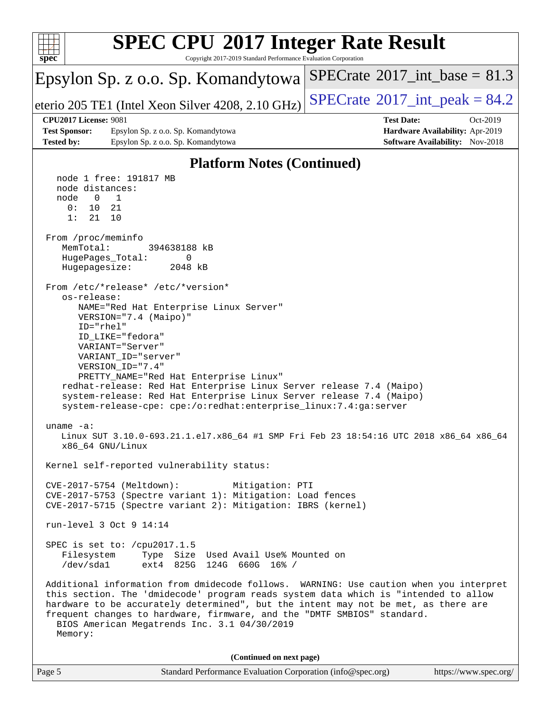

| Page 5 | Standard Performance Evaluation Corporation (info@spec.org) | https://www.spec.org/ |
|--------|-------------------------------------------------------------|-----------------------|
|        |                                                             |                       |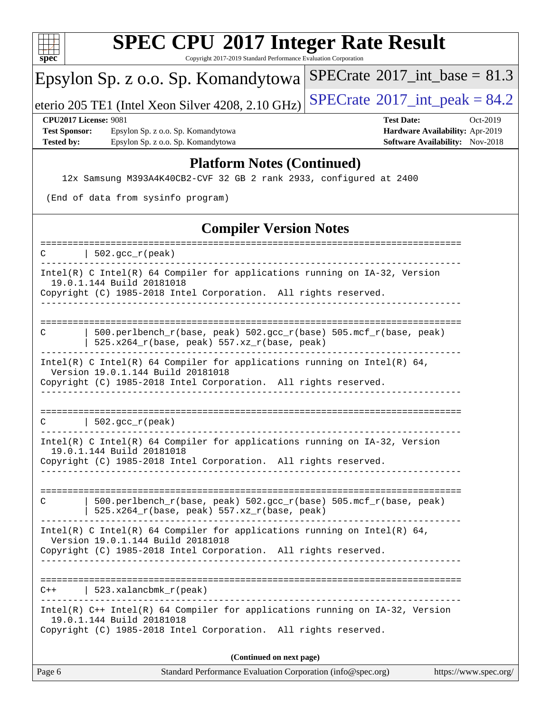| г |  |  |  |  |  |  |  |
|---|--|--|--|--|--|--|--|

Copyright 2017-2019 Standard Performance Evaluation Corporation

# Epsylon Sp. z o.o. Sp. Komandytowa

eterio 205 TE1 (Intel Xeon Silver 4208, 2.10 GHz) [SPECrate](http://www.spec.org/auto/cpu2017/Docs/result-fields.html#SPECrate2017intpeak)<sup>®</sup>[2017\\_int\\_peak =](http://www.spec.org/auto/cpu2017/Docs/result-fields.html#SPECrate2017intpeak) 84.2

 $SPECTate@2017_int\_base = 81.3$ 

**[Test Sponsor:](http://www.spec.org/auto/cpu2017/Docs/result-fields.html#TestSponsor)** Epsylon Sp. z o.o. Sp. Komandytowa **[Hardware Availability:](http://www.spec.org/auto/cpu2017/Docs/result-fields.html#HardwareAvailability)** Apr-2019 **[Tested by:](http://www.spec.org/auto/cpu2017/Docs/result-fields.html#Testedby)** Epsylon Sp. z o.o. Sp. Komandytowa **[Software Availability:](http://www.spec.org/auto/cpu2017/Docs/result-fields.html#SoftwareAvailability)** Nov-2018

# **[CPU2017 License:](http://www.spec.org/auto/cpu2017/Docs/result-fields.html#CPU2017License)** 9081 **[Test Date:](http://www.spec.org/auto/cpu2017/Docs/result-fields.html#TestDate)** Oct-2019

### **[Platform Notes \(Continued\)](http://www.spec.org/auto/cpu2017/Docs/result-fields.html#PlatformNotes)**

12x Samsung M393A4K40CB2-CVF 32 GB 2 rank 2933, configured at 2400

(End of data from sysinfo program)

### **[Compiler Version Notes](http://www.spec.org/auto/cpu2017/Docs/result-fields.html#CompilerVersionNotes)**

| Page 6       | Standard Performance Evaluation Corporation (info@spec.org)<br>https://www.spec.org/                                                                                             |
|--------------|----------------------------------------------------------------------------------------------------------------------------------------------------------------------------------|
|              | Copyright (C) 1985-2018 Intel Corporation. All rights reserved.<br>(Continued on next page)                                                                                      |
|              | Intel(R) C++ Intel(R) 64 Compiler for applications running on IA-32, Version<br>19.0.1.144 Build 20181018                                                                        |
|              | $C++$   523.xalancbmk_r(peak)                                                                                                                                                    |
|              | Version 19.0.1.144 Build 20181018<br>Copyright (C) 1985-2018 Intel Corporation. All rights reserved.                                                                             |
|              | Intel(R) C Intel(R) 64 Compiler for applications running on Intel(R) 64,                                                                                                         |
| C            | 500.perlbench_r(base, peak) 502.gcc_r(base) 505.mcf_r(base, peak)<br>$525.x264_r(base, peak) 557.xz_r(base, peak)$                                                               |
|              | Intel(R) C Intel(R) 64 Compiler for applications running on IA-32, Version<br>19.0.1.144 Build 20181018<br>Copyright (C) 1985-2018 Intel Corporation. All rights reserved.       |
|              | $\vert$ 502.gcc_r(peak)                                                                                                                                                          |
|              | Intel(R) C Intel(R) 64 Compiler for applications running on Intel(R) 64,<br>Version 19.0.1.144 Build 20181018<br>Copyright (C) 1985-2018 Intel Corporation. All rights reserved. |
|              | 525.x264_r(base, peak) 557.xz_r(base, peak)                                                                                                                                      |
| C            | 500.perlbench_r(base, peak) 502.gcc_r(base) 505.mcf_r(base, peak)                                                                                                                |
|              | Copyright (C) 1985-2018 Intel Corporation. All rights reserved.                                                                                                                  |
|              | Intel(R) C Intel(R) 64 Compiler for applications running on IA-32, Version<br>19.0.1.144 Build 20181018                                                                          |
| $\mathbf{C}$ | 502. $qcc r (peak)$                                                                                                                                                              |
|              |                                                                                                                                                                                  |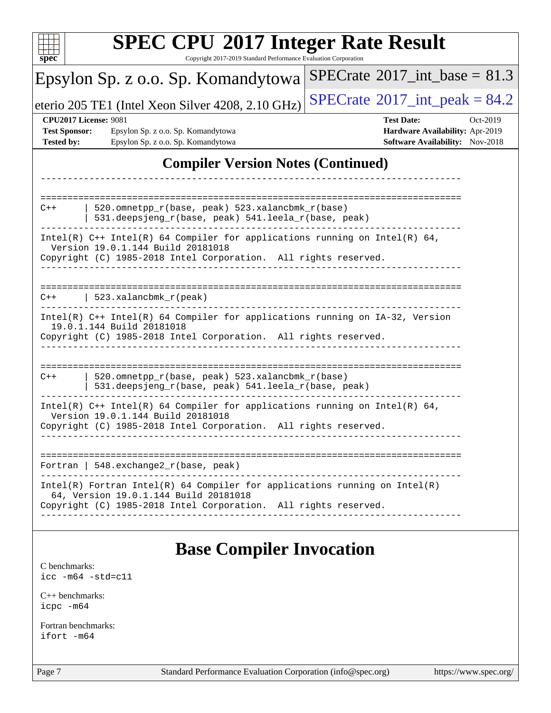| <b>SPEC CPU®2017 Integer Rate Result</b><br>Copyright 2017-2019 Standard Performance Evaluation Corporation<br>$spec^*$                                                                                                                                 |          |
|---------------------------------------------------------------------------------------------------------------------------------------------------------------------------------------------------------------------------------------------------------|----------|
| $SPECrate^{\circ}2017\_int\_base = 81.3$<br>Epsylon Sp. z o.o. Sp. Komandytowa                                                                                                                                                                          |          |
| $SPECrate@2017_int\_peak = 84.2$<br>eterio 205 TE1 (Intel Xeon Silver 4208, 2.10 GHz)                                                                                                                                                                   |          |
| <b>CPU2017 License: 9081</b><br><b>Test Date:</b><br><b>Test Sponsor:</b><br>Hardware Availability: Apr-2019<br>Epsylon Sp. z o.o. Sp. Komandytowa<br>Epsylon Sp. z o.o. Sp. Komandytowa<br><b>Software Availability:</b> Nov-2018<br><b>Tested by:</b> | Oct-2019 |
| <b>Compiler Version Notes (Continued)</b>                                                                                                                                                                                                               |          |
| 520.omnetpp_r(base, peak) 523.xalancbmk_r(base)<br>$C++$<br>531.deepsjeng_r(base, peak) 541.leela_r(base, peak)<br>Intel(R) $C++$ Intel(R) 64 Compiler for applications running on Intel(R) 64,                                                         |          |
| Version 19.0.1.144 Build 20181018<br>Copyright (C) 1985-2018 Intel Corporation. All rights reserved.                                                                                                                                                    |          |
| $C++$   523.xalancbmk_r(peak)                                                                                                                                                                                                                           |          |
| Intel(R) C++ Intel(R) 64 Compiler for applications running on IA-32, Version<br>19.0.1.144 Build 20181018<br>Copyright (C) 1985-2018 Intel Corporation. All rights reserved.                                                                            |          |
| 520.omnetpp_r(base, peak) 523.xalancbmk_r(base)<br>$C++$<br>531.deepsjeng_r(base, peak) 541.leela_r(base, peak)                                                                                                                                         |          |
| Intel(R) C++ Intel(R) 64 Compiler for applications running on Intel(R) 64,<br>Version 19.0.1.144 Build 20181018<br>Copyright (C) 1985-2018 Intel Corporation. All rights reserved.                                                                      |          |
| Fortran   548. exchange2_r(base, peak)                                                                                                                                                                                                                  |          |
| $Intel(R)$ Fortran Intel(R) 64 Compiler for applications running on Intel(R)<br>64, Version 19.0.1.144 Build 20181018<br>Copyright (C) 1985-2018 Intel Corporation. All rights reserved.                                                                |          |
| <b>Base Compiler Invocation</b><br>C benchmarks:<br>$\text{icc}$ -m64 -std=c11                                                                                                                                                                          |          |
| $C_{++}$ benchmarks:<br>icpc -m64                                                                                                                                                                                                                       |          |
| Fortran benchmarks:<br>ifort -m64                                                                                                                                                                                                                       |          |

Page 7 Standard Performance Evaluation Corporation [\(info@spec.org\)](mailto:info@spec.org) <https://www.spec.org/>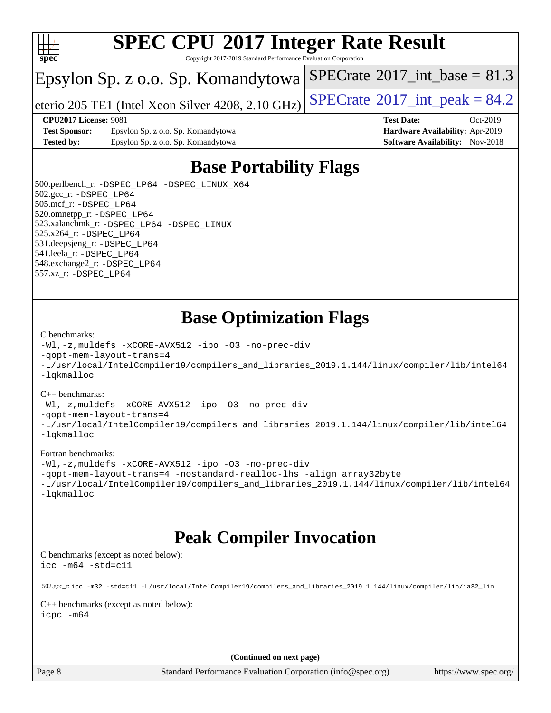

Copyright 2017-2019 Standard Performance Evaluation Corporation

### Epsylon Sp. z o.o. Sp. Komandytowa

eterio 205 TE1 (Intel Xeon Silver 4208, 2.10 GHz)  $\left|$  [SPECrate](http://www.spec.org/auto/cpu2017/Docs/result-fields.html#SPECrate2017intpeak)<sup>®</sup>[2017\\_int\\_peak =](http://www.spec.org/auto/cpu2017/Docs/result-fields.html#SPECrate2017intpeak) 84.2

[SPECrate](http://www.spec.org/auto/cpu2017/Docs/result-fields.html#SPECrate2017intbase)<sup>®</sup>2017 int\_base = 81.3

**[CPU2017 License:](http://www.spec.org/auto/cpu2017/Docs/result-fields.html#CPU2017License)** 9081 **[Test Date:](http://www.spec.org/auto/cpu2017/Docs/result-fields.html#TestDate)** Oct-2019

**[Test Sponsor:](http://www.spec.org/auto/cpu2017/Docs/result-fields.html#TestSponsor)** Epsylon Sp. z o.o. Sp. Komandytowa **[Hardware Availability:](http://www.spec.org/auto/cpu2017/Docs/result-fields.html#HardwareAvailability)** Apr-2019 **[Tested by:](http://www.spec.org/auto/cpu2017/Docs/result-fields.html#Testedby)** Epsylon Sp. z o.o. Sp. Komandytowa **[Software Availability:](http://www.spec.org/auto/cpu2017/Docs/result-fields.html#SoftwareAvailability)** Nov-2018

# **[Base Portability Flags](http://www.spec.org/auto/cpu2017/Docs/result-fields.html#BasePortabilityFlags)**

 500.perlbench\_r: [-DSPEC\\_LP64](http://www.spec.org/cpu2017/results/res2019q4/cpu2017-20191028-19222.flags.html#b500.perlbench_r_basePORTABILITY_DSPEC_LP64) [-DSPEC\\_LINUX\\_X64](http://www.spec.org/cpu2017/results/res2019q4/cpu2017-20191028-19222.flags.html#b500.perlbench_r_baseCPORTABILITY_DSPEC_LINUX_X64) 502.gcc\_r: [-DSPEC\\_LP64](http://www.spec.org/cpu2017/results/res2019q4/cpu2017-20191028-19222.flags.html#suite_basePORTABILITY502_gcc_r_DSPEC_LP64) 505.mcf\_r: [-DSPEC\\_LP64](http://www.spec.org/cpu2017/results/res2019q4/cpu2017-20191028-19222.flags.html#suite_basePORTABILITY505_mcf_r_DSPEC_LP64) 520.omnetpp\_r: [-DSPEC\\_LP64](http://www.spec.org/cpu2017/results/res2019q4/cpu2017-20191028-19222.flags.html#suite_basePORTABILITY520_omnetpp_r_DSPEC_LP64) 523.xalancbmk\_r: [-DSPEC\\_LP64](http://www.spec.org/cpu2017/results/res2019q4/cpu2017-20191028-19222.flags.html#suite_basePORTABILITY523_xalancbmk_r_DSPEC_LP64) [-DSPEC\\_LINUX](http://www.spec.org/cpu2017/results/res2019q4/cpu2017-20191028-19222.flags.html#b523.xalancbmk_r_baseCXXPORTABILITY_DSPEC_LINUX) 525.x264\_r: [-DSPEC\\_LP64](http://www.spec.org/cpu2017/results/res2019q4/cpu2017-20191028-19222.flags.html#suite_basePORTABILITY525_x264_r_DSPEC_LP64) 531.deepsjeng\_r: [-DSPEC\\_LP64](http://www.spec.org/cpu2017/results/res2019q4/cpu2017-20191028-19222.flags.html#suite_basePORTABILITY531_deepsjeng_r_DSPEC_LP64) 541.leela\_r: [-DSPEC\\_LP64](http://www.spec.org/cpu2017/results/res2019q4/cpu2017-20191028-19222.flags.html#suite_basePORTABILITY541_leela_r_DSPEC_LP64) 548.exchange2\_r: [-DSPEC\\_LP64](http://www.spec.org/cpu2017/results/res2019q4/cpu2017-20191028-19222.flags.html#suite_basePORTABILITY548_exchange2_r_DSPEC_LP64) 557.xz\_r: [-DSPEC\\_LP64](http://www.spec.org/cpu2017/results/res2019q4/cpu2017-20191028-19222.flags.html#suite_basePORTABILITY557_xz_r_DSPEC_LP64)

## **[Base Optimization Flags](http://www.spec.org/auto/cpu2017/Docs/result-fields.html#BaseOptimizationFlags)**

#### [C benchmarks](http://www.spec.org/auto/cpu2017/Docs/result-fields.html#Cbenchmarks):

[-Wl,-z,muldefs](http://www.spec.org/cpu2017/results/res2019q4/cpu2017-20191028-19222.flags.html#user_CCbase_link_force_multiple1_b4cbdb97b34bdee9ceefcfe54f4c8ea74255f0b02a4b23e853cdb0e18eb4525ac79b5a88067c842dd0ee6996c24547a27a4b99331201badda8798ef8a743f577) [-xCORE-AVX512](http://www.spec.org/cpu2017/results/res2019q4/cpu2017-20191028-19222.flags.html#user_CCbase_f-xCORE-AVX512) [-ipo](http://www.spec.org/cpu2017/results/res2019q4/cpu2017-20191028-19222.flags.html#user_CCbase_f-ipo) [-O3](http://www.spec.org/cpu2017/results/res2019q4/cpu2017-20191028-19222.flags.html#user_CCbase_f-O3) [-no-prec-div](http://www.spec.org/cpu2017/results/res2019q4/cpu2017-20191028-19222.flags.html#user_CCbase_f-no-prec-div) [-qopt-mem-layout-trans=4](http://www.spec.org/cpu2017/results/res2019q4/cpu2017-20191028-19222.flags.html#user_CCbase_f-qopt-mem-layout-trans_fa39e755916c150a61361b7846f310bcdf6f04e385ef281cadf3647acec3f0ae266d1a1d22d972a7087a248fd4e6ca390a3634700869573d231a252c784941a8) [-L/usr/local/IntelCompiler19/compilers\\_and\\_libraries\\_2019.1.144/linux/compiler/lib/intel64](http://www.spec.org/cpu2017/results/res2019q4/cpu2017-20191028-19222.flags.html#user_CCbase_qkmalloc_link_f25da0aa8cf9bced0533715046f0c2fbfb1a7191e3e496916672e09b4c388a884c4c7e4862cb529343da2264b43416df65c99fd1ddbf5dd13ae6d3130cf47881) [-lqkmalloc](http://www.spec.org/cpu2017/results/res2019q4/cpu2017-20191028-19222.flags.html#user_CCbase_qkmalloc_link_lib_79a818439969f771c6bc311cfd333c00fc099dad35c030f5aab9dda831713d2015205805422f83de8875488a2991c0a156aaa600e1f9138f8fc37004abc96dc5)

### [C++ benchmarks](http://www.spec.org/auto/cpu2017/Docs/result-fields.html#CXXbenchmarks):

[-Wl,-z,muldefs](http://www.spec.org/cpu2017/results/res2019q4/cpu2017-20191028-19222.flags.html#user_CXXbase_link_force_multiple1_b4cbdb97b34bdee9ceefcfe54f4c8ea74255f0b02a4b23e853cdb0e18eb4525ac79b5a88067c842dd0ee6996c24547a27a4b99331201badda8798ef8a743f577) [-xCORE-AVX512](http://www.spec.org/cpu2017/results/res2019q4/cpu2017-20191028-19222.flags.html#user_CXXbase_f-xCORE-AVX512) [-ipo](http://www.spec.org/cpu2017/results/res2019q4/cpu2017-20191028-19222.flags.html#user_CXXbase_f-ipo) [-O3](http://www.spec.org/cpu2017/results/res2019q4/cpu2017-20191028-19222.flags.html#user_CXXbase_f-O3) [-no-prec-div](http://www.spec.org/cpu2017/results/res2019q4/cpu2017-20191028-19222.flags.html#user_CXXbase_f-no-prec-div)

[-qopt-mem-layout-trans=4](http://www.spec.org/cpu2017/results/res2019q4/cpu2017-20191028-19222.flags.html#user_CXXbase_f-qopt-mem-layout-trans_fa39e755916c150a61361b7846f310bcdf6f04e385ef281cadf3647acec3f0ae266d1a1d22d972a7087a248fd4e6ca390a3634700869573d231a252c784941a8)

[-L/usr/local/IntelCompiler19/compilers\\_and\\_libraries\\_2019.1.144/linux/compiler/lib/intel64](http://www.spec.org/cpu2017/results/res2019q4/cpu2017-20191028-19222.flags.html#user_CXXbase_qkmalloc_link_f25da0aa8cf9bced0533715046f0c2fbfb1a7191e3e496916672e09b4c388a884c4c7e4862cb529343da2264b43416df65c99fd1ddbf5dd13ae6d3130cf47881) [-lqkmalloc](http://www.spec.org/cpu2017/results/res2019q4/cpu2017-20191028-19222.flags.html#user_CXXbase_qkmalloc_link_lib_79a818439969f771c6bc311cfd333c00fc099dad35c030f5aab9dda831713d2015205805422f83de8875488a2991c0a156aaa600e1f9138f8fc37004abc96dc5)

### [Fortran benchmarks](http://www.spec.org/auto/cpu2017/Docs/result-fields.html#Fortranbenchmarks):

```
-Wl,-z,muldefs -xCORE-AVX512 -ipo -O3 -no-prec-div
-qopt-mem-layout-trans=4 -nostandard-realloc-lhs -align array32byte
-L/usr/local/IntelCompiler19/compilers_and_libraries_2019.1.144/linux/compiler/lib/intel64
-lqkmalloc
```
### **[Peak Compiler Invocation](http://www.spec.org/auto/cpu2017/Docs/result-fields.html#PeakCompilerInvocation)**

[C benchmarks \(except as noted below\)](http://www.spec.org/auto/cpu2017/Docs/result-fields.html#Cbenchmarksexceptasnotedbelow): [icc -m64 -std=c11](http://www.spec.org/cpu2017/results/res2019q4/cpu2017-20191028-19222.flags.html#user_CCpeak_intel_icc_64bit_c11_33ee0cdaae7deeeab2a9725423ba97205ce30f63b9926c2519791662299b76a0318f32ddfffdc46587804de3178b4f9328c46fa7c2b0cd779d7a61945c91cd35)

 502.gcc\_r: [icc -m32 -std=c11 -L/usr/local/IntelCompiler19/compilers\\_and\\_libraries\\_2019.1.144/linux/compiler/lib/ia32\\_lin](http://www.spec.org/cpu2017/results/res2019q4/cpu2017-20191028-19222.flags.html#user_peakCCLD502_gcc_r_intel_icc_40453ff6bf9521e1d4c2d3e2fb99253a88fa516366d57fe908127cec2d2803e1a519020f7199618d366f5331d17d60a40bdca38a56a807895183dcecb671b0e5) [C++ benchmarks \(except as noted below\)](http://www.spec.org/auto/cpu2017/Docs/result-fields.html#CXXbenchmarksexceptasnotedbelow): [icpc -m64](http://www.spec.org/cpu2017/results/res2019q4/cpu2017-20191028-19222.flags.html#user_CXXpeak_intel_icpc_64bit_4ecb2543ae3f1412ef961e0650ca070fec7b7afdcd6ed48761b84423119d1bf6bdf5cad15b44d48e7256388bc77273b966e5eb805aefd121eb22e9299b2ec9d9)

**(Continued on next page)**

Page 8 Standard Performance Evaluation Corporation [\(info@spec.org\)](mailto:info@spec.org) <https://www.spec.org/>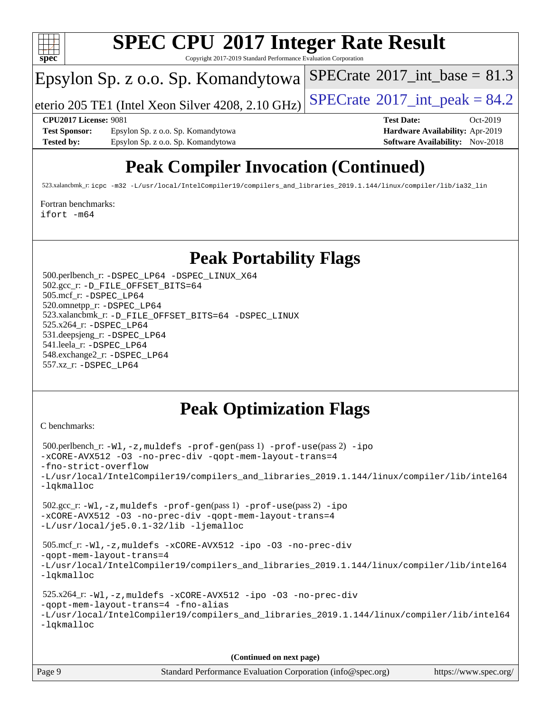

Copyright 2017-2019 Standard Performance Evaluation Corporation

### Epsylon Sp. z o.o. Sp. Komandytowa

eterio 205 TE1 (Intel Xeon Silver 4208, 2.10 GHz)  $\left|$  [SPECrate](http://www.spec.org/auto/cpu2017/Docs/result-fields.html#SPECrate2017intpeak)<sup>®</sup>[2017\\_int\\_peak =](http://www.spec.org/auto/cpu2017/Docs/result-fields.html#SPECrate2017intpeak) 84.2

[SPECrate](http://www.spec.org/auto/cpu2017/Docs/result-fields.html#SPECrate2017intbase)<sup>®</sup>2017 int\_base = 81.3

**[Test Sponsor:](http://www.spec.org/auto/cpu2017/Docs/result-fields.html#TestSponsor)** Epsylon Sp. z o.o. Sp. Komandytowa **[Hardware Availability:](http://www.spec.org/auto/cpu2017/Docs/result-fields.html#HardwareAvailability)** Apr-2019 **[Tested by:](http://www.spec.org/auto/cpu2017/Docs/result-fields.html#Testedby)** Epsylon Sp. z o.o. Sp. Komandytowa **[Software Availability:](http://www.spec.org/auto/cpu2017/Docs/result-fields.html#SoftwareAvailability)** Nov-2018

**[CPU2017 License:](http://www.spec.org/auto/cpu2017/Docs/result-fields.html#CPU2017License)** 9081 **[Test Date:](http://www.spec.org/auto/cpu2017/Docs/result-fields.html#TestDate)** Oct-2019

# **[Peak Compiler Invocation \(Continued\)](http://www.spec.org/auto/cpu2017/Docs/result-fields.html#PeakCompilerInvocation)**

523.xalancbmk\_r: [icpc -m32 -L/usr/local/IntelCompiler19/compilers\\_and\\_libraries\\_2019.1.144/linux/compiler/lib/ia32\\_lin](http://www.spec.org/cpu2017/results/res2019q4/cpu2017-20191028-19222.flags.html#user_peakCXXLD523_xalancbmk_r_intel_icpc_da1545662a59c569b62a27824af614167f9a0289efc0155d279b219af3bd2ccb3c10a77eb36bcb264d681e48d9166bbcec9d21ef2c85e5a63a687a8887ddded7)

#### [Fortran benchmarks](http://www.spec.org/auto/cpu2017/Docs/result-fields.html#Fortranbenchmarks):

[ifort -m64](http://www.spec.org/cpu2017/results/res2019q4/cpu2017-20191028-19222.flags.html#user_FCpeak_intel_ifort_64bit_24f2bb282fbaeffd6157abe4f878425411749daecae9a33200eee2bee2fe76f3b89351d69a8130dd5949958ce389cf37ff59a95e7a40d588e8d3a57e0c3fd751)

### **[Peak Portability Flags](http://www.spec.org/auto/cpu2017/Docs/result-fields.html#PeakPortabilityFlags)**

 500.perlbench\_r: [-DSPEC\\_LP64](http://www.spec.org/cpu2017/results/res2019q4/cpu2017-20191028-19222.flags.html#b500.perlbench_r_peakPORTABILITY_DSPEC_LP64) [-DSPEC\\_LINUX\\_X64](http://www.spec.org/cpu2017/results/res2019q4/cpu2017-20191028-19222.flags.html#b500.perlbench_r_peakCPORTABILITY_DSPEC_LINUX_X64) 502.gcc\_r: [-D\\_FILE\\_OFFSET\\_BITS=64](http://www.spec.org/cpu2017/results/res2019q4/cpu2017-20191028-19222.flags.html#user_peakPORTABILITY502_gcc_r_file_offset_bits_64_5ae949a99b284ddf4e95728d47cb0843d81b2eb0e18bdfe74bbf0f61d0b064f4bda2f10ea5eb90e1dcab0e84dbc592acfc5018bc955c18609f94ddb8d550002c) 505.mcf\_r: [-DSPEC\\_LP64](http://www.spec.org/cpu2017/results/res2019q4/cpu2017-20191028-19222.flags.html#suite_peakPORTABILITY505_mcf_r_DSPEC_LP64) 520.omnetpp\_r: [-DSPEC\\_LP64](http://www.spec.org/cpu2017/results/res2019q4/cpu2017-20191028-19222.flags.html#suite_peakPORTABILITY520_omnetpp_r_DSPEC_LP64) 523.xalancbmk\_r: [-D\\_FILE\\_OFFSET\\_BITS=64](http://www.spec.org/cpu2017/results/res2019q4/cpu2017-20191028-19222.flags.html#user_peakPORTABILITY523_xalancbmk_r_file_offset_bits_64_5ae949a99b284ddf4e95728d47cb0843d81b2eb0e18bdfe74bbf0f61d0b064f4bda2f10ea5eb90e1dcab0e84dbc592acfc5018bc955c18609f94ddb8d550002c) [-DSPEC\\_LINUX](http://www.spec.org/cpu2017/results/res2019q4/cpu2017-20191028-19222.flags.html#b523.xalancbmk_r_peakCXXPORTABILITY_DSPEC_LINUX) 525.x264\_r: [-DSPEC\\_LP64](http://www.spec.org/cpu2017/results/res2019q4/cpu2017-20191028-19222.flags.html#suite_peakPORTABILITY525_x264_r_DSPEC_LP64) 531.deepsjeng\_r: [-DSPEC\\_LP64](http://www.spec.org/cpu2017/results/res2019q4/cpu2017-20191028-19222.flags.html#suite_peakPORTABILITY531_deepsjeng_r_DSPEC_LP64) 541.leela\_r: [-DSPEC\\_LP64](http://www.spec.org/cpu2017/results/res2019q4/cpu2017-20191028-19222.flags.html#suite_peakPORTABILITY541_leela_r_DSPEC_LP64) 548.exchange2\_r: [-DSPEC\\_LP64](http://www.spec.org/cpu2017/results/res2019q4/cpu2017-20191028-19222.flags.html#suite_peakPORTABILITY548_exchange2_r_DSPEC_LP64) 557.xz\_r: [-DSPEC\\_LP64](http://www.spec.org/cpu2017/results/res2019q4/cpu2017-20191028-19222.flags.html#suite_peakPORTABILITY557_xz_r_DSPEC_LP64)

# **[Peak Optimization Flags](http://www.spec.org/auto/cpu2017/Docs/result-fields.html#PeakOptimizationFlags)**

[C benchmarks](http://www.spec.org/auto/cpu2017/Docs/result-fields.html#Cbenchmarks):

```
 500.perlbench_r: -Wl,-z,muldefs -prof-gen(pass 1) -prof-use(pass 2) -ipo
-xCORE-AVX512 -O3 -no-prec-div -qopt-mem-layout-trans=4
-fno-strict-overflow
-L/usr/local/IntelCompiler19/compilers_and_libraries_2019.1.144/linux/compiler/lib/intel64
-lqkmalloc
 502.gcc_r: -Wl,-z,muldefs -prof-gen(pass 1) -prof-use(pass 2) -ipo
-xCORE-AVX512 -O3 -no-prec-div -qopt-mem-layout-trans=4
-L/usr/local/je5.0.1-32/lib -ljemalloc
 505.mcf_r: -Wl,-z,muldefs -xCORE-AVX512 -ipo -O3 -no-prec-div
-qopt-mem-layout-trans=4
-L/usr/local/IntelCompiler19/compilers_and_libraries_2019.1.144/linux/compiler/lib/intel64
-lqkmalloc
 525.x264_r: -Wl,-z,muldefs -xCORE-AVX512 -ipo -O3 -no-prec-div
-qopt-mem-layout-trans=4 -fno-alias
-L/usr/local/IntelCompiler19/compilers_and_libraries_2019.1.144/linux/compiler/lib/intel64
-lqkmalloc
```
**(Continued on next page)**